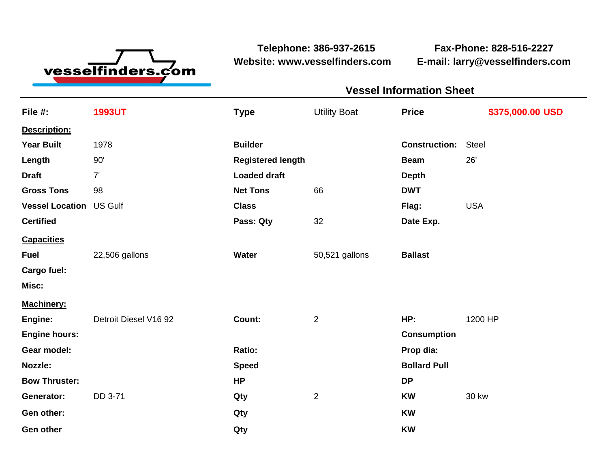

**Telephone: 386-937-2615 Fax-Phone: 828-516-2227 Website: www.vesselfinders.com E-mail: larry@vesselfinders.com**

| <b>Vessel Information Sheet</b>                                  |  |
|------------------------------------------------------------------|--|
| Utility Boat Price \$375,000.00 USD                              |  |
|                                                                  |  |
| <b>Construction: Steel</b>                                       |  |
| Beam 26'                                                         |  |
|                                                                  |  |
| Flag: USA                                                        |  |
| Date Exp.                                                        |  |
|                                                                  |  |
| 50,521 gallons <b>Ballast</b>                                    |  |
|                                                                  |  |
|                                                                  |  |
| Machinery:<br>Engine: Detroit Diesel V16 92 Count: 2 HP: 1200 HP |  |
| <b>Consumption</b>                                               |  |
| Prop dia:                                                        |  |
| <b>Bollard Pull</b>                                              |  |
| <b>KW</b> 30 kw                                                  |  |
|                                                                  |  |
|                                                                  |  |